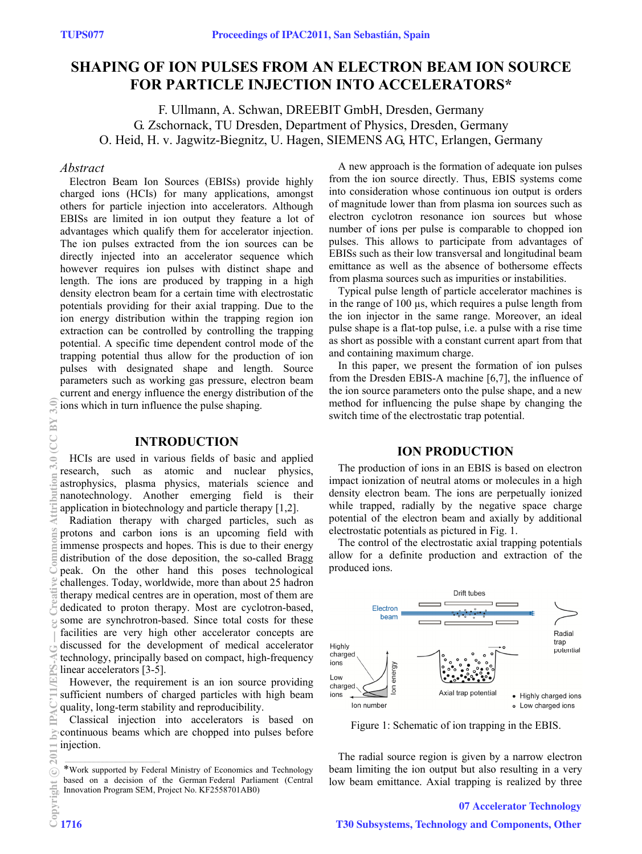# **SHAPING OF ION PULSES FROM AN ELECTRON BEAM ION SOURCE FOR PARTICLE INJECTION INTO ACCELERATORS\***

F. Ullmann, A. Schwan, DREEBIT GmbH, Dresden, Germany G. Zschornack, TU Dresden, Department of Physics, Dresden, Germany O. Heid, H. v. Jagwitz-Biegnitz, U. Hagen, SIEMENS AG, HTC, Erlangen, Germany

## *Abstract*

Electron Beam Ion Sources (EBISs) provide highly charged ions (HCIs) for many applications, amongst others for particle injection into accelerators. Although EBISs are limited in ion output they feature a lot of advantages which qualify them for accelerator injection. The ion pulses extracted from the ion sources can be directly injected into an accelerator sequence which however requires ion pulses with distinct shape and length. The ions are produced by trapping in a high density electron beam for a certain time with electrostatic potentials providing for their axial trapping. Due to the ion energy distribution within the trapping region ion extraction can be controlled by controlling the trapping potential. A specific time dependent control mode of the trapping potential thus allow for the production of ion pulses with designated shape and length. Source parameters such as working gas pressure, electron beam current and energy influence the energy distribution of the ions which in turn influence the pulse shaping.

# **INTRODUCTION**

HCIs are used in various fields of basic and applied research, such as atomic and nuclear physics, astrophysics, plasma physics, materials science and nanotechnology. Another emerging field is their application in biotechnology and particle therapy [1,2].

Radiation therapy with charged particles, such as protons and carbon ions is an upcoming field with immense prospects and hopes. This is due to their energy distribution of the dose deposition, the so-called Bragg peak. On the other hand this poses technological challenges. Today, worldwide, more than about 25 hadron therapy medical centres are in operation, most of them are dedicated to proton therapy. Most are cyclotron-based, some are synchrotron-based. Since total costs for these facilities are very high other accelerator concepts are discussed for the development of medical accelerator

technology, principally based on compact, high-frequency linear accelerators [3-5].

However, the requirement is an ion source providing sufficient numbers of charged particles with high beam quality, long-term stability and reproducibility.

Classical injection into accelerators is based on continuous beams which are chopped into pulses before injection.

A new approach is the formation of adequate ion pulses from the ion source directly. Thus, EBIS systems come into consideration whose continuous ion output is orders of magnitude lower than from plasma ion sources such as electron cyclotron resonance ion sources but whose number of ions per pulse is comparable to chopped ion pulses. This allows to participate from advantages of EBISs such as their low transversal and longitudinal beam emittance as well as the absence of bothersome effects from plasma sources such as impurities or instabilities.

Typical pulse length of particle accelerator machines is in the range of 100 µs, which requires a pulse length from the ion injector in the same range. Moreover, an ideal pulse shape is a flat-top pulse, i.e. a pulse with a rise time as short as possible with a constant current apart from that and containing maximum charge.

In this paper, we present the formation of ion pulses from the Dresden EBIS-A machine [6,7], the influence of the ion source parameters onto the pulse shape, and a new method for influencing the pulse shape by changing the switch time of the electrostatic trap potential.

# **ION PRODUCTION**

The production of ions in an EBIS is based on electron impact ionization of neutral atoms or molecules in a high density electron beam. The ions are perpetually ionized while trapped, radially by the negative space charge potential of the electron beam and axially by additional electrostatic potentials as pictured in Fig. 1.

The control of the electrostatic axial trapping potentials allow for a definite production and extraction of the produced ions.



Figure 1: Schematic of ion trapping in the EBIS.

The radial source region is given by a narrow electron beam limiting the ion output but also resulting in a very low beam emittance. Axial trapping is realized by three

#### 07 Accelerator Technology

<sup>\*</sup>Work supported by Federal Ministry of Economics and Technology based on a decision of the German Federal Parliament (Central Innovation Program SEM, Project No. KF2558701AB0)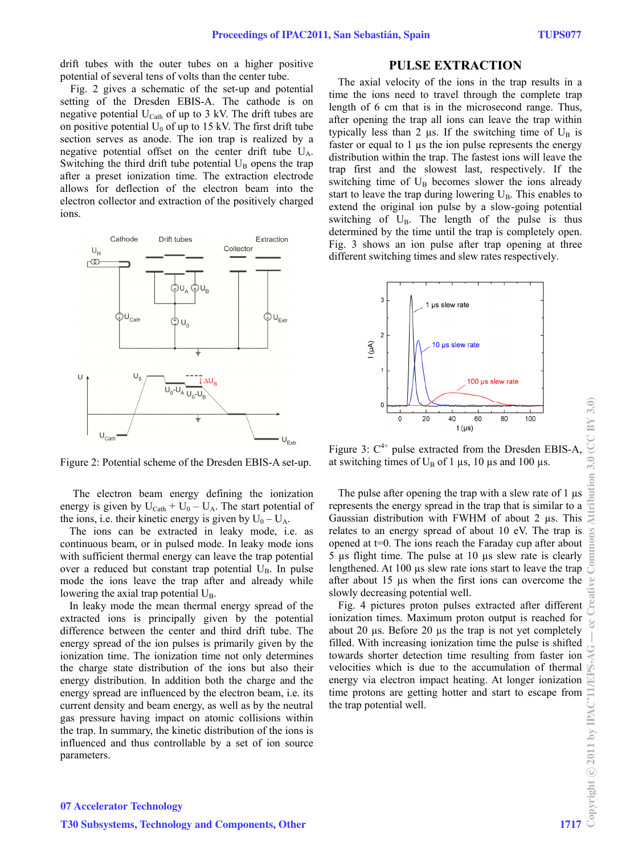drift tubes with the outer tubes on a higher positive potential of several tens of volts than the center tube.

Fig. 2 gives a schematic of the set-up and potential setting of the Dresden EBIS-A. The cathode is on negative potential  $U_{\text{Cath}}$  of up to 3 kV. The drift tubes are on positive potential  $U_0$  of up to 15 kV. The first drift tube section serves as anode. The ion trap is realized by a negative potential offset on the center drift tube  $U_A$ . Switching the third drift tube potential  $U_B$  opens the trap after a preset ionization time. The extraction electrode allows for deflection of the electron beam into the electron collector and extraction of the positively charged ions.



Figure 2: Potential scheme of the Dresden EBIS-A set-up.

 The electron beam energy defining the ionization energy is given by  $U_{\text{Cath}} + U_0 - U_A$ . The start potential of the ions, i.e. their kinetic energy is given by  $U_0 - U_A$ .

The ions can be extracted in leaky mode, i.e. as continuous beam, or in pulsed mode. In leaky mode ions with sufficient thermal energy can leave the trap potential over a reduced but constant trap potential  $U_B$ . In pulse mode the ions leave the trap after and already while lowering the axial trap potential  $U_{\text{B}}$ .

In leaky mode the mean thermal energy spread of the extracted ions is principally given by the potential difference between the center and third drift tube. The energy spread of the ion pulses is primarily given by the ionization time. The ionization time not only determines the charge state distribution of the ions but also their energy distribution. In addition both the charge and the energy spread are influenced by the electron beam, i.e. its current density and beam energy, as well as by the neutral gas pressure having impact on atomic collisions within the trap. In summary, the kinetic distribution of the ions is influenced and thus controllable by a set of ion source parameters.

## **PULSE EXTRACTION**

The axial velocity of the ions in the trap results in a time the ions need to travel through the complete trap length of 6 cm that is in the microsecond range. Thus, after opening the trap all ions can leave the trap within typically less than 2  $\mu$ s. If the switching time of U<sub>B</sub> is faster or equal to 1 µs the ion pulse represents the energy distribution within the trap. The fastest ions will leave the trap first and the slowest last, respectively. If the switching time of  $U_B$  becomes slower the ions already start to leave the trap during lowering  $U_B$ . This enables to extend the original ion pulse by a slow-going potential switching of  $U_B$ . The length of the pulse is thus determined by the time until the trap is completely open. Fig. 3 shows an ion pulse after trap opening at three different switching times and slew rates respectively.



Figure 3:  $C^{4+}$  pulse extracted from the Dresden EBIS-A at switching times of  $U_B$  of 1  $\mu$ s, 10  $\mu$ s and 100  $\mu$ s.

The pulse after opening the trap with a slew rate of 1  $\mu$ s represents the energy spread in the trap that is similar to a Gaussian distribution with FWHM of about 2 µs. This relates to an energy spread of about 10 eV. The trap is opened at t=0. The ions reach the Faraday cup after about 5 µs flight time. The pulse at 10 µs slew rate is clearly lengthened. At 100 µs slew rate ions start to leave the trap after about 15 µs when the first ions can overcome the slowly decreasing potential well.

Fig. 4 pictures proton pulses extracted after different ionization times. Maximum proton output is reached for about 20  $\mu$ s. Before 20  $\mu$ s the trap is not yet completely filled. With increasing ionization time the pulse is shifted towards shorter detection time resulting from faster ion velocities which is due to the accumulation of thermal energy via electron impact heating. At longer ionization time protons are getting hotter and start to escape from the trap potential well.